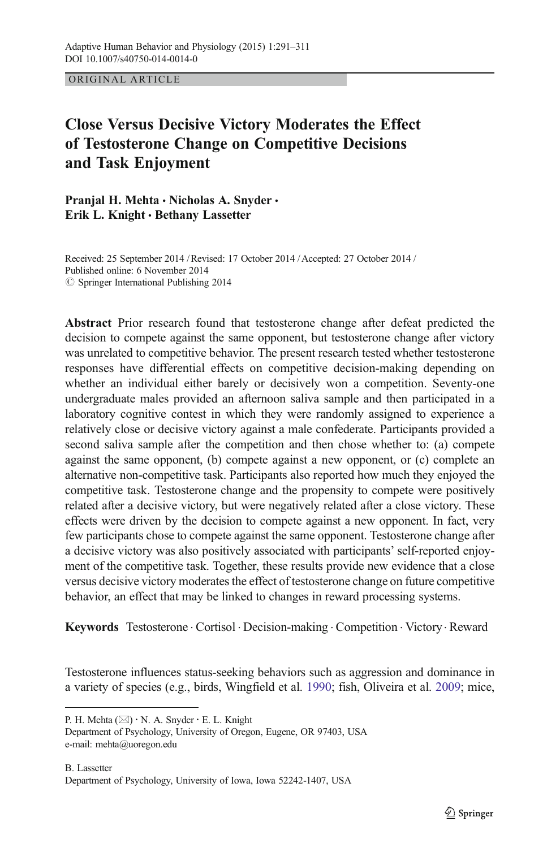ORIGINAL ARTICLE

# Close Versus Decisive Victory Moderates the Effect of Testosterone Change on Competitive Decisions and Task Enjoyment

Pranjal H. Mehta · Nicholas A. Snyder · Erik L. Knight · Bethany Lassetter

Received: 25 September 2014 /Revised: 17 October 2014 /Accepted: 27 October 2014 / Published online: 6 November 2014  $\circ$  Springer International Publishing 2014

Abstract Prior research found that testosterone change after defeat predicted the decision to compete against the same opponent, but testosterone change after victory was unrelated to competitive behavior. The present research tested whether testosterone responses have differential effects on competitive decision-making depending on whether an individual either barely or decisively won a competition. Seventy-one undergraduate males provided an afternoon saliva sample and then participated in a laboratory cognitive contest in which they were randomly assigned to experience a relatively close or decisive victory against a male confederate. Participants provided a second saliva sample after the competition and then chose whether to: (a) compete against the same opponent, (b) compete against a new opponent, or (c) complete an alternative non-competitive task. Participants also reported how much they enjoyed the competitive task. Testosterone change and the propensity to compete were positively related after a decisive victory, but were negatively related after a close victory. These effects were driven by the decision to compete against a new opponent. In fact, very few participants chose to compete against the same opponent. Testosterone change after a decisive victory was also positively associated with participants' self-reported enjoyment of the competitive task. Together, these results provide new evidence that a close versus decisive victory moderates the effect of testosterone change on future competitive behavior, an effect that may be linked to changes in reward processing systems.

Keywords Testosterone . Cortisol . Decision-making . Competition . Victory. Reward

Testosterone influences status-seeking behaviors such as aggression and dominance in a variety of species (e.g., birds, Wingfield et al. [1990](#page-20-0); fish, Oliveira et al. [2009;](#page-19-0) mice,

P. H. Mehta  $(\boxtimes) \cdot N$ . A. Snyder  $\cdot$  E. L. Knight

Department of Psychology, University of Oregon, Eugene, OR 97403, USA e-mail: mehta@uoregon.edu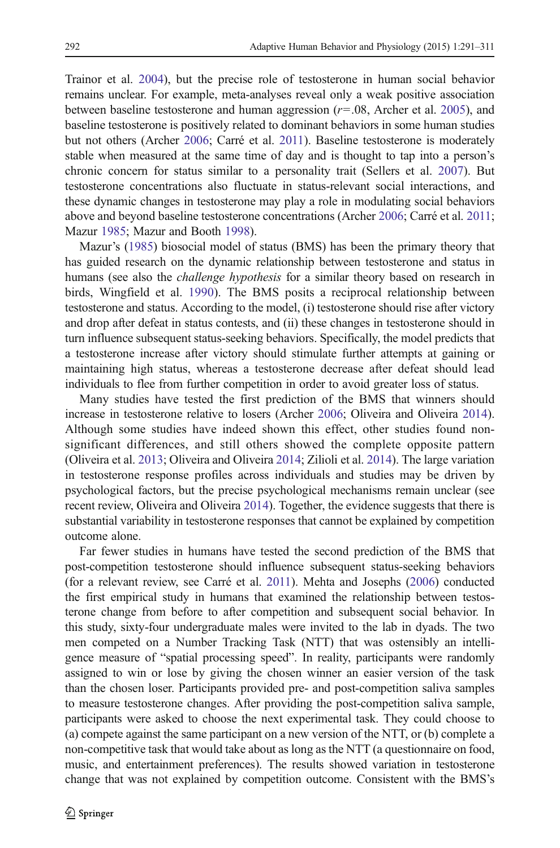Trainor et al. [2004](#page-20-0)), but the precise role of testosterone in human social behavior remains unclear. For example, meta-analyses reveal only a weak positive association between baseline testosterone and human aggression  $(r=.08,$  Archer et al. [2005](#page-17-0)), and baseline testosterone is positively related to dominant behaviors in some human studies but not others (Archer [2006](#page-17-0); Carré et al. [2011\)](#page-18-0). Baseline testosterone is moderately stable when measured at the same time of day and is thought to tap into a person's chronic concern for status similar to a personality trait (Sellers et al. [2007\)](#page-19-0). But testosterone concentrations also fluctuate in status-relevant social interactions, and these dynamic changes in testosterone may play a role in modulating social behaviors above and beyond baseline testosterone concentrations (Archer [2006;](#page-17-0) Carré et al. [2011;](#page-18-0) Mazur [1985;](#page-18-0) Mazur and Booth [1998](#page-19-0)).

Mazur's ([1985](#page-18-0)) biosocial model of status (BMS) has been the primary theory that has guided research on the dynamic relationship between testosterone and status in humans (see also the *challenge hypothesis* for a similar theory based on research in birds, Wingfield et al. [1990\)](#page-20-0). The BMS posits a reciprocal relationship between testosterone and status. According to the model, (i) testosterone should rise after victory and drop after defeat in status contests, and (ii) these changes in testosterone should in turn influence subsequent status-seeking behaviors. Specifically, the model predicts that a testosterone increase after victory should stimulate further attempts at gaining or maintaining high status, whereas a testosterone decrease after defeat should lead individuals to flee from further competition in order to avoid greater loss of status.

Many studies have tested the first prediction of the BMS that winners should increase in testosterone relative to losers (Archer [2006](#page-17-0); Oliveira and Oliveira [2014\)](#page-19-0). Although some studies have indeed shown this effect, other studies found nonsignificant differences, and still others showed the complete opposite pattern (Oliveira et al. [2013](#page-19-0); Oliveira and Oliveira [2014](#page-19-0); Zilioli et al. [2014\)](#page-20-0). The large variation in testosterone response profiles across individuals and studies may be driven by psychological factors, but the precise psychological mechanisms remain unclear (see recent review, Oliveira and Oliveira [2014\)](#page-19-0). Together, the evidence suggests that there is substantial variability in testosterone responses that cannot be explained by competition outcome alone.

Far fewer studies in humans have tested the second prediction of the BMS that post-competition testosterone should influence subsequent status-seeking behaviors (for a relevant review, see Carré et al. [2011\)](#page-18-0). Mehta and Josephs ([2006](#page-19-0)) conducted the first empirical study in humans that examined the relationship between testosterone change from before to after competition and subsequent social behavior. In this study, sixty-four undergraduate males were invited to the lab in dyads. The two men competed on a Number Tracking Task (NTT) that was ostensibly an intelligence measure of "spatial processing speed". In reality, participants were randomly assigned to win or lose by giving the chosen winner an easier version of the task than the chosen loser. Participants provided pre- and post-competition saliva samples to measure testosterone changes. After providing the post-competition saliva sample, participants were asked to choose the next experimental task. They could choose to (a) compete against the same participant on a new version of the NTT, or (b) complete a non-competitive task that would take about as long as the NTT (a questionnaire on food, music, and entertainment preferences). The results showed variation in testosterone change that was not explained by competition outcome. Consistent with the BMS's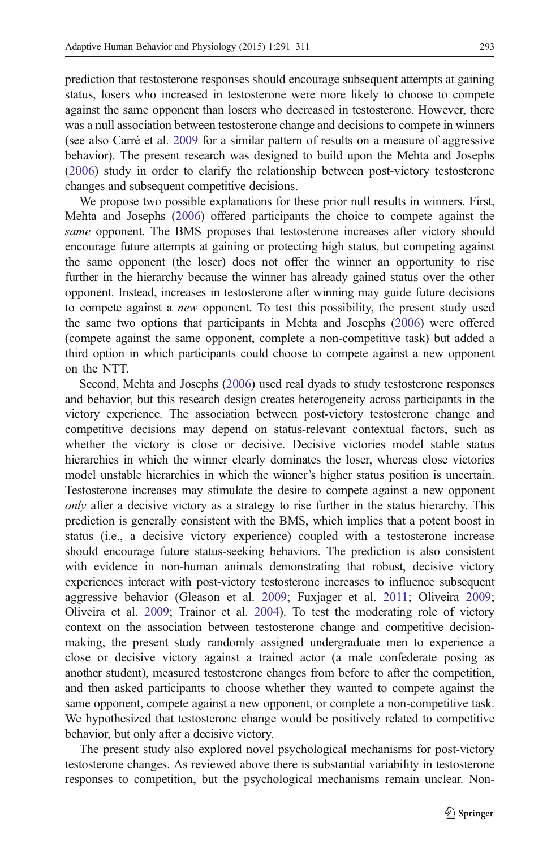prediction that testosterone responses should encourage subsequent attempts at gaining status, losers who increased in testosterone were more likely to choose to compete against the same opponent than losers who decreased in testosterone. However, there was a null association between testosterone change and decisions to compete in winners (see also Carré et al. [2009](#page-17-0) for a similar pattern of results on a measure of aggressive behavior). The present research was designed to build upon the Mehta and Josephs [\(2006](#page-19-0)) study in order to clarify the relationship between post-victory testosterone changes and subsequent competitive decisions.

We propose two possible explanations for these prior null results in winners. First, Mehta and Josephs ([2006](#page-19-0)) offered participants the choice to compete against the same opponent. The BMS proposes that testosterone increases after victory should encourage future attempts at gaining or protecting high status, but competing against the same opponent (the loser) does not offer the winner an opportunity to rise further in the hierarchy because the winner has already gained status over the other opponent. Instead, increases in testosterone after winning may guide future decisions to compete against a new opponent. To test this possibility, the present study used the same two options that participants in Mehta and Josephs [\(2006\)](#page-19-0) were offered (compete against the same opponent, complete a non-competitive task) but added a third option in which participants could choose to compete against a new opponent on the NTT.

Second, Mehta and Josephs ([2006](#page-19-0)) used real dyads to study testosterone responses and behavior, but this research design creates heterogeneity across participants in the victory experience. The association between post-victory testosterone change and competitive decisions may depend on status-relevant contextual factors, such as whether the victory is close or decisive. Decisive victories model stable status hierarchies in which the winner clearly dominates the loser, whereas close victories model unstable hierarchies in which the winner's higher status position is uncertain. Testosterone increases may stimulate the desire to compete against a new opponent only after a decisive victory as a strategy to rise further in the status hierarchy. This prediction is generally consistent with the BMS, which implies that a potent boost in status (i.e., a decisive victory experience) coupled with a testosterone increase should encourage future status-seeking behaviors. The prediction is also consistent with evidence in non-human animals demonstrating that robust, decisive victory experiences interact with post-victory testosterone increases to influence subsequent aggressive behavior (Gleason et al. [2009](#page-18-0); Fuxjager et al. [2011](#page-18-0); Oliveira [2009;](#page-19-0) Oliveira et al. [2009;](#page-19-0) Trainor et al. [2004](#page-20-0)). To test the moderating role of victory context on the association between testosterone change and competitive decisionmaking, the present study randomly assigned undergraduate men to experience a close or decisive victory against a trained actor (a male confederate posing as another student), measured testosterone changes from before to after the competition, and then asked participants to choose whether they wanted to compete against the same opponent, compete against a new opponent, or complete a non-competitive task. We hypothesized that testosterone change would be positively related to competitive behavior, but only after a decisive victory.

The present study also explored novel psychological mechanisms for post-victory testosterone changes. As reviewed above there is substantial variability in testosterone responses to competition, but the psychological mechanisms remain unclear. Non-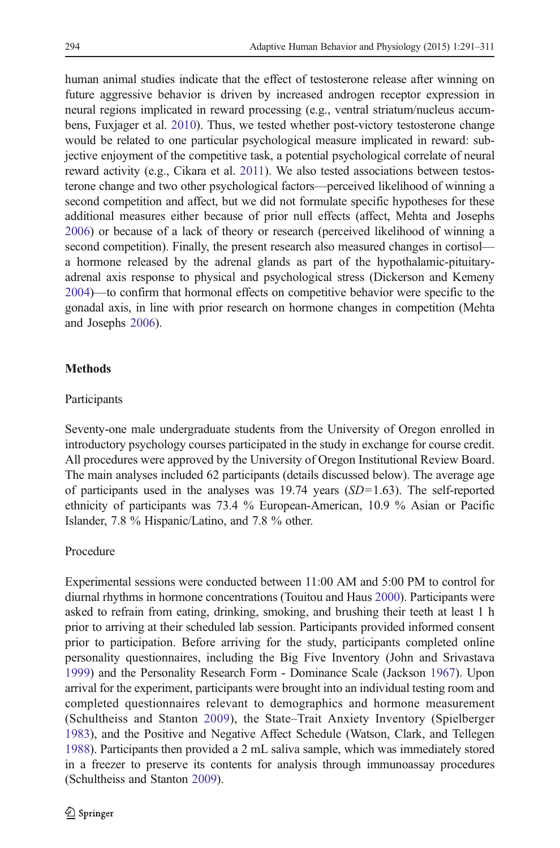human animal studies indicate that the effect of testosterone release after winning on future aggressive behavior is driven by increased androgen receptor expression in neural regions implicated in reward processing (e.g., ventral striatum/nucleus accumbens, Fuxjager et al. [2010\)](#page-18-0). Thus, we tested whether post-victory testosterone change would be related to one particular psychological measure implicated in reward: subjective enjoyment of the competitive task, a potential psychological correlate of neural reward activity (e.g., Cikara et al. [2011\)](#page-18-0). We also tested associations between testosterone change and two other psychological factors—perceived likelihood of winning a second competition and affect, but we did not formulate specific hypotheses for these additional measures either because of prior null effects (affect, Mehta and Josephs [2006\)](#page-19-0) or because of a lack of theory or research (perceived likelihood of winning a second competition). Finally, the present research also measured changes in cortisol a hormone released by the adrenal glands as part of the hypothalamic-pituitaryadrenal axis response to physical and psychological stress (Dickerson and Kemeny [2004\)](#page-18-0)—to confirm that hormonal effects on competitive behavior were specific to the gonadal axis, in line with prior research on hormone changes in competition (Mehta and Josephs [2006\)](#page-19-0).

#### Methods

#### Participants

Seventy-one male undergraduate students from the University of Oregon enrolled in introductory psychology courses participated in the study in exchange for course credit. All procedures were approved by the University of Oregon Institutional Review Board. The main analyses included 62 participants (details discussed below). The average age of participants used in the analyses was  $19.74$  years  $(SD=1.63)$ . The self-reported ethnicity of participants was 73.4 % European-American, 10.9 % Asian or Pacific Islander, 7.8 % Hispanic/Latino, and 7.8 % other.

## Procedure

Experimental sessions were conducted between 11:00 AM and 5:00 PM to control for diurnal rhythms in hormone concentrations (Touitou and Haus [2000\)](#page-20-0). Participants were asked to refrain from eating, drinking, smoking, and brushing their teeth at least 1 h prior to arriving at their scheduled lab session. Participants provided informed consent prior to participation. Before arriving for the study, participants completed online personality questionnaires, including the Big Five Inventory (John and Srivastava [1999\)](#page-18-0) and the Personality Research Form - Dominance Scale (Jackson [1967](#page-18-0)). Upon arrival for the experiment, participants were brought into an individual testing room and completed questionnaires relevant to demographics and hormone measurement (Schultheiss and Stanton [2009\)](#page-19-0), the State–Trait Anxiety Inventory (Spielberger [1983\)](#page-19-0), and the Positive and Negative Affect Schedule (Watson, Clark, and Tellegen [1988\)](#page-20-0). Participants then provided a 2 mL saliva sample, which was immediately stored in a freezer to preserve its contents for analysis through immunoassay procedures (Schultheiss and Stanton [2009](#page-19-0)).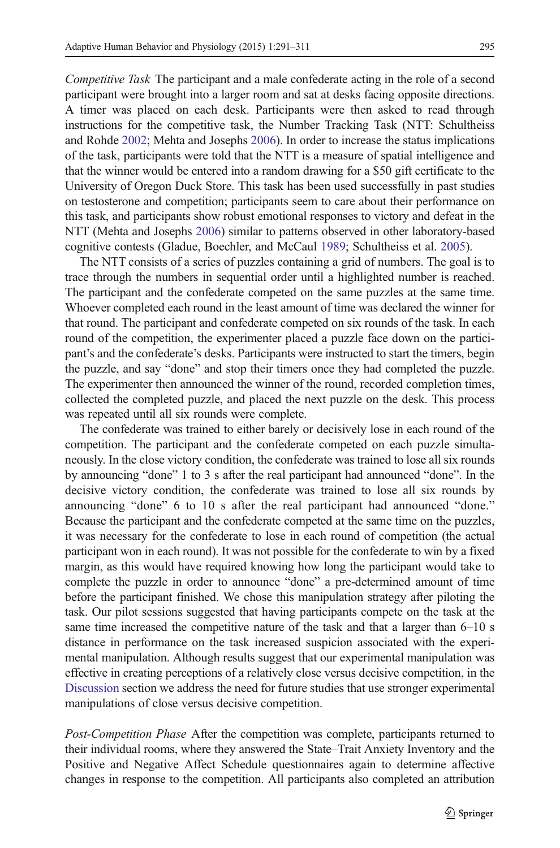Competitive Task The participant and a male confederate acting in the role of a second participant were brought into a larger room and sat at desks facing opposite directions. A timer was placed on each desk. Participants were then asked to read through instructions for the competitive task, the Number Tracking Task (NTT: Schultheiss and Rohde [2002](#page-19-0); Mehta and Josephs [2006\)](#page-19-0). In order to increase the status implications of the task, participants were told that the NTT is a measure of spatial intelligence and that the winner would be entered into a random drawing for a \$50 gift certificate to the University of Oregon Duck Store. This task has been used successfully in past studies on testosterone and competition; participants seem to care about their performance on this task, and participants show robust emotional responses to victory and defeat in the NTT (Mehta and Josephs [2006](#page-19-0)) similar to patterns observed in other laboratory-based cognitive contests (Gladue, Boechler, and McCaul [1989](#page-18-0); Schultheiss et al. [2005](#page-19-0)).

The NTT consists of a series of puzzles containing a grid of numbers. The goal is to trace through the numbers in sequential order until a highlighted number is reached. The participant and the confederate competed on the same puzzles at the same time. Whoever completed each round in the least amount of time was declared the winner for that round. The participant and confederate competed on six rounds of the task. In each round of the competition, the experimenter placed a puzzle face down on the participant's and the confederate's desks. Participants were instructed to start the timers, begin the puzzle, and say "done" and stop their timers once they had completed the puzzle. The experimenter then announced the winner of the round, recorded completion times, collected the completed puzzle, and placed the next puzzle on the desk. This process was repeated until all six rounds were complete.

The confederate was trained to either barely or decisively lose in each round of the competition. The participant and the confederate competed on each puzzle simultaneously. In the close victory condition, the confederate was trained to lose all six rounds by announcing "done" 1 to 3 s after the real participant had announced "done". In the decisive victory condition, the confederate was trained to lose all six rounds by announcing "done" 6 to 10 s after the real participant had announced "done." Because the participant and the confederate competed at the same time on the puzzles, it was necessary for the confederate to lose in each round of competition (the actual participant won in each round). It was not possible for the confederate to win by a fixed margin, as this would have required knowing how long the participant would take to complete the puzzle in order to announce "done" a pre-determined amount of time before the participant finished. We chose this manipulation strategy after piloting the task. Our pilot sessions suggested that having participants compete on the task at the same time increased the competitive nature of the task and that a larger than 6–10 s distance in performance on the task increased suspicion associated with the experimental manipulation. Although results suggest that our experimental manipulation was effective in creating perceptions of a relatively close versus decisive competition, in the [Discussion](#page-13-0) section we address the need for future studies that use stronger experimental manipulations of close versus decisive competition.

Post-Competition Phase After the competition was complete, participants returned to their individual rooms, where they answered the State–Trait Anxiety Inventory and the Positive and Negative Affect Schedule questionnaires again to determine affective changes in response to the competition. All participants also completed an attribution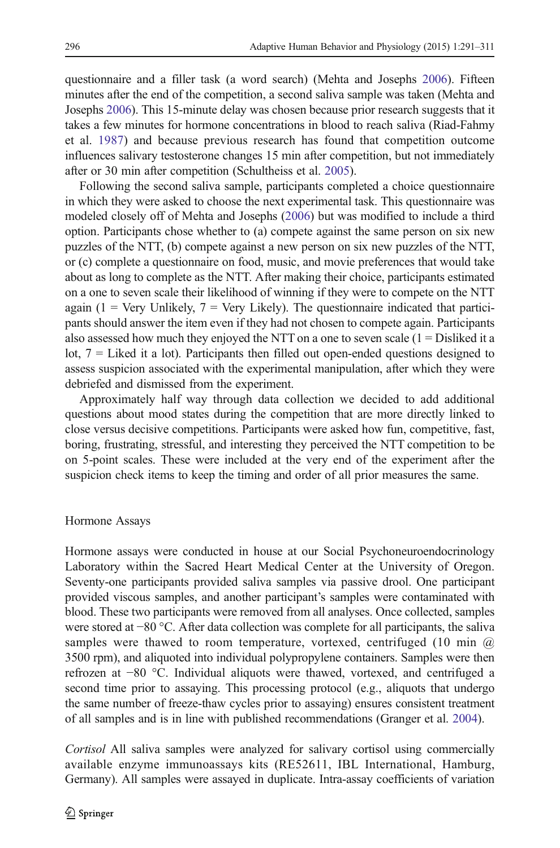questionnaire and a filler task (a word search) (Mehta and Josephs [2006](#page-19-0)). Fifteen minutes after the end of the competition, a second saliva sample was taken (Mehta and Josephs [2006](#page-19-0)). This 15-minute delay was chosen because prior research suggests that it takes a few minutes for hormone concentrations in blood to reach saliva (Riad-Fahmy et al. [1987](#page-19-0)) and because previous research has found that competition outcome influences salivary testosterone changes 15 min after competition, but not immediately after or 30 min after competition (Schultheiss et al. [2005](#page-19-0)).

Following the second saliva sample, participants completed a choice questionnaire in which they were asked to choose the next experimental task. This questionnaire was modeled closely off of Mehta and Josephs ([2006](#page-19-0)) but was modified to include a third option. Participants chose whether to (a) compete against the same person on six new puzzles of the NTT, (b) compete against a new person on six new puzzles of the NTT, or (c) complete a questionnaire on food, music, and movie preferences that would take about as long to complete as the NTT. After making their choice, participants estimated on a one to seven scale their likelihood of winning if they were to compete on the NTT again (1 = Very Unlikely,  $7 =$  Very Likely). The questionnaire indicated that participants should answer the item even if they had not chosen to compete again. Participants also assessed how much they enjoyed the NTT on a one to seven scale  $(1 = Distiked$  it a lot, 7 = Liked it a lot). Participants then filled out open-ended questions designed to assess suspicion associated with the experimental manipulation, after which they were debriefed and dismissed from the experiment.

Approximately half way through data collection we decided to add additional questions about mood states during the competition that are more directly linked to close versus decisive competitions. Participants were asked how fun, competitive, fast, boring, frustrating, stressful, and interesting they perceived the NTT competition to be on 5-point scales. These were included at the very end of the experiment after the suspicion check items to keep the timing and order of all prior measures the same.

#### Hormone Assays

Hormone assays were conducted in house at our Social Psychoneuroendocrinology Laboratory within the Sacred Heart Medical Center at the University of Oregon. Seventy-one participants provided saliva samples via passive drool. One participant provided viscous samples, and another participant's samples were contaminated with blood. These two participants were removed from all analyses. Once collected, samples were stored at −80 °C. After data collection was complete for all participants, the saliva samples were thawed to room temperature, vortexed, centrifuged (10 min @) 3500 rpm), and aliquoted into individual polypropylene containers. Samples were then refrozen at −80 °C. Individual aliquots were thawed, vortexed, and centrifuged a second time prior to assaying. This processing protocol (e.g., aliquots that undergo the same number of freeze-thaw cycles prior to assaying) ensures consistent treatment of all samples and is in line with published recommendations (Granger et al. [2004\)](#page-18-0).

Cortisol All saliva samples were analyzed for salivary cortisol using commercially available enzyme immunoassays kits (RE52611, IBL International, Hamburg, Germany). All samples were assayed in duplicate. Intra-assay coefficients of variation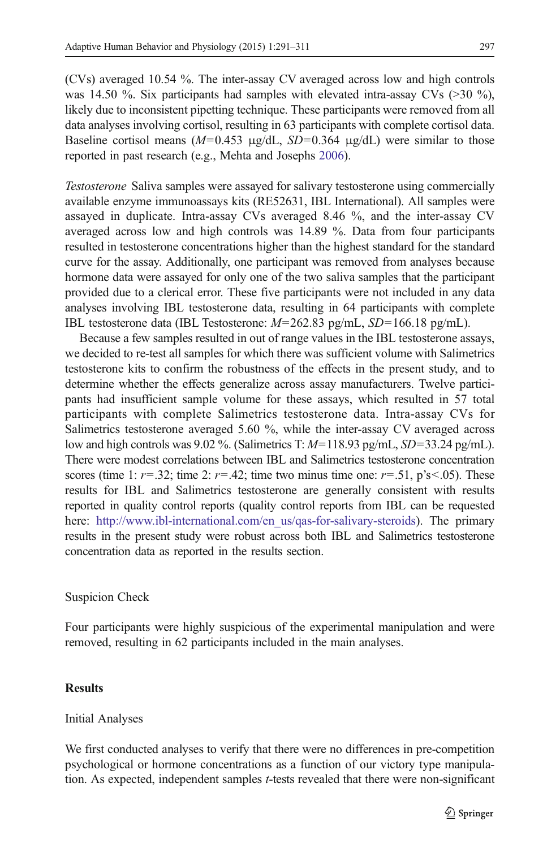(CVs) averaged 10.54 %. The inter-assay CV averaged across low and high controls was 14.50 %. Six participants had samples with elevated intra-assay CVs  $(>30\%)$ , likely due to inconsistent pipetting technique. These participants were removed from all data analyses involving cortisol, resulting in 63 participants with complete cortisol data. Baseline cortisol means  $(M=0.453 \mu g/dL, SD=0.364 \mu g/dL)$  were similar to those reported in past research (e.g., Mehta and Josephs [2006\)](#page-19-0).

Testosterone Saliva samples were assayed for salivary testosterone using commercially available enzyme immunoassays kits (RE52631, IBL International). All samples were assayed in duplicate. Intra-assay CVs averaged 8.46 %, and the inter-assay CV averaged across low and high controls was 14.89 %. Data from four participants resulted in testosterone concentrations higher than the highest standard for the standard curve for the assay. Additionally, one participant was removed from analyses because hormone data were assayed for only one of the two saliva samples that the participant provided due to a clerical error. These five participants were not included in any data analyses involving IBL testosterone data, resulting in 64 participants with complete IBL testosterone data (IBL Testosterone: M=262.83 pg/mL, SD=166.18 pg/mL).

Because a few samples resulted in out of range values in the IBL testosterone assays, we decided to re-test all samples for which there was sufficient volume with Salimetrics testosterone kits to confirm the robustness of the effects in the present study, and to determine whether the effects generalize across assay manufacturers. Twelve participants had insufficient sample volume for these assays, which resulted in 57 total participants with complete Salimetrics testosterone data. Intra-assay CVs for Salimetrics testosterone averaged 5.60 %, while the inter-assay CV averaged across low and high controls was 9.02 %. (Salimetrics T:  $M=118.93$  pg/mL,  $SD=33.24$  pg/mL). There were modest correlations between IBL and Salimetrics testosterone concentration scores (time 1:  $r=32$ ; time 2:  $r=.42$ ; time two minus time one:  $r=.51$ , p's<.05). These results for IBL and Salimetrics testosterone are generally consistent with results reported in quality control reports (quality control reports from IBL can be requested here: [http://www.ibl-international.com/en\\_us/qas-for-salivary-steroids](http://www.ibl-international.com/en_us/qas-for-salivary-steroids)). The primary results in the present study were robust across both IBL and Salimetrics testosterone concentration data as reported in the results section.

#### Suspicion Check

Four participants were highly suspicious of the experimental manipulation and were removed, resulting in 62 participants included in the main analyses.

#### **Results**

#### Initial Analyses

We first conducted analyses to verify that there were no differences in pre-competition psychological or hormone concentrations as a function of our victory type manipulation. As expected, independent samples t-tests revealed that there were non-significant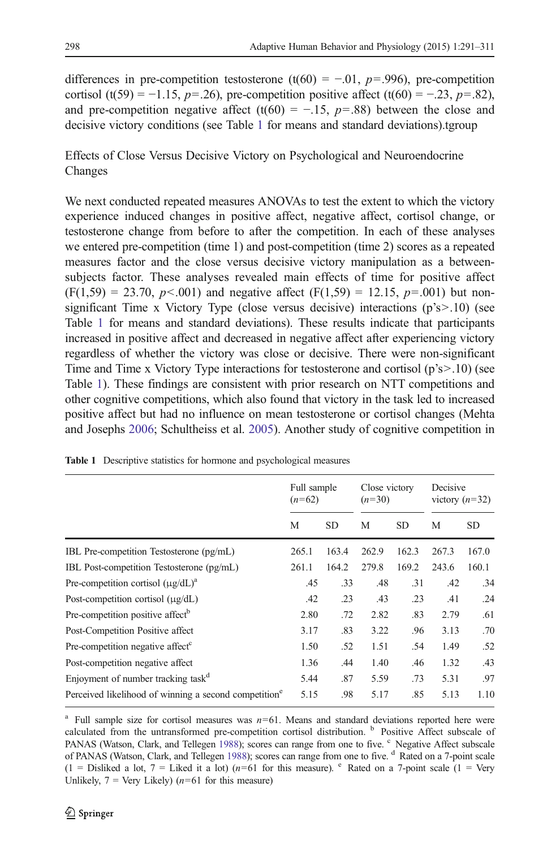differences in pre-competition testosterone (t(60) =  $-0.01$ , p=.996), pre-competition cortisol (t(59) = −1.15, p=.26), pre-competition positive affect (t(60) = −.23, p=.82), and pre-competition negative affect (t(60) =  $-.15$ , p=.88) between the close and decisive victory conditions (see Table 1 for means and standard deviations).tgroup

Effects of Close Versus Decisive Victory on Psychological and Neuroendocrine Changes

We next conducted repeated measures ANOVAs to test the extent to which the victory experience induced changes in positive affect, negative affect, cortisol change, or testosterone change from before to after the competition. In each of these analyses we entered pre-competition (time 1) and post-competition (time 2) scores as a repeated measures factor and the close versus decisive victory manipulation as a betweensubjects factor. These analyses revealed main effects of time for positive affect  $(F(1,59) = 23.70, p<0.001)$  and negative affect  $(F(1,59) = 12.15, p=0.001)$  but nonsignificant Time x Victory Type (close versus decisive) interactions  $(p's > 0.10)$  (see Table 1 for means and standard deviations). These results indicate that participants increased in positive affect and decreased in negative affect after experiencing victory regardless of whether the victory was close or decisive. There were non-significant Time and Time x Victory Type interactions for testosterone and cortisol  $(p's$  $>$ .10) (see Table 1). These findings are consistent with prior research on NTT competitions and other cognitive competitions, which also found that victory in the task led to increased positive affect but had no influence on mean testosterone or cortisol changes (Mehta and Josephs [2006;](#page-19-0) Schultheiss et al. [2005\)](#page-19-0). Another study of cognitive competition in

|                                                                   | Full sample<br>$(n=62)$ |           | Close victory<br>$(n=30)$ |           | Decisive<br>victory $(n=32)$ |           |
|-------------------------------------------------------------------|-------------------------|-----------|---------------------------|-----------|------------------------------|-----------|
|                                                                   | М                       | <b>SD</b> | M                         | <b>SD</b> | М                            | <b>SD</b> |
| IBL Pre-competition Testosterone (pg/mL)                          | 265.1                   | 163.4     | 262.9                     | 162.3     | 267.3                        | 167.0     |
| IBL Post-competition Testosterone (pg/mL)                         | 261.1                   | 164.2     | 279.8                     | 169.2     | 243.6                        | 160.1     |
| Pre-competition cortisol $(\mu g/dL)^a$                           | .45                     | .33       | .48                       | .31       | .42                          | .34       |
| Post-competition cortisol $(\mu \varrho/dL)$                      | .42                     | .23       | .43                       | .23       | .41                          | .24       |
| Pre-competition positive affect <sup>b</sup>                      | 2.80                    | .72       | 2.82                      | .83       | 2.79                         | .61       |
| Post-Competition Positive affect                                  | 3.17                    | .83       | 3.22                      | .96       | 3.13                         | .70       |
| Pre-competition negative affect <sup>c</sup>                      | 1.50                    | .52       | 1.51                      | .54       | 1.49                         | .52       |
| Post-competition negative affect                                  | 1.36                    | .44       | 1.40                      | .46       | 1.32                         | .43       |
| Enjoyment of number tracking task <sup>d</sup>                    | 5.44                    | .87       | 5.59                      | .73       | 5.31                         | .97       |
| Perceived likelihood of winning a second competition <sup>e</sup> | 5.15                    | .98       | 5.17                      | .85       | 5.13                         | 1.10      |

Table 1 Descriptive statistics for hormone and psychological measures

<sup>a</sup> Full sample size for cortisol measures was  $n=61$ . Means and standard deviations reported here were calculated from the untransformed pre-competition cortisol distribution. <sup>b</sup> Positive Affect subscale of PANAS (Watson, Clark, and Tellegen [1988](#page-20-0)); scores can range from one to five. <sup>c</sup> Negative Affect subscale of PANAS (Watson, Clark, and Tellegen [1988\)](#page-20-0); scores can range from one to five. <sup>d</sup> Rated on a 7-point scale  $(1 =$  Disliked a lot,  $7 =$  Liked it a lot) (n=61 for this measure). <sup>e</sup> Rated on a 7-point scale  $(1 =$  Very Unlikely,  $7 = \text{Very Likely}$  ( $n=61$  for this measure)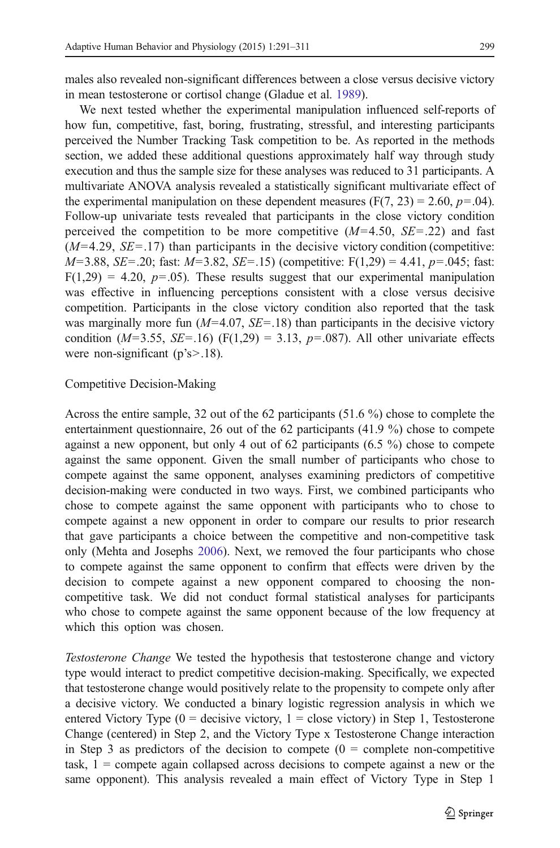males also revealed non-significant differences between a close versus decisive victory in mean testosterone or cortisol change (Gladue et al. [1989](#page-18-0)).

We next tested whether the experimental manipulation influenced self-reports of how fun, competitive, fast, boring, frustrating, stressful, and interesting participants perceived the Number Tracking Task competition to be. As reported in the methods section, we added these additional questions approximately half way through study execution and thus the sample size for these analyses was reduced to 31 participants. A multivariate ANOVA analysis revealed a statistically significant multivariate effect of the experimental manipulation on these dependent measures (F(7, 23) = 2.60,  $p=0.04$ ). Follow-up univariate tests revealed that participants in the close victory condition perceived the competition to be more competitive  $(M=4.50, SE=.22)$  and fast  $(M=4.29, SE=.17)$  than participants in the decisive victory condition (competitive:  $M=3.88$ ,  $SE=.20$ ; fast:  $M=3.82$ ,  $SE=.15$ ) (competitive:  $F(1,29) = 4.41$ ,  $p=.045$ ; fast:  $F(1,29) = 4.20$ ,  $p=.05$ ). These results suggest that our experimental manipulation was effective in influencing perceptions consistent with a close versus decisive competition. Participants in the close victory condition also reported that the task was marginally more fun  $(M=4.07, SE=.18)$  than participants in the decisive victory condition ( $M=3.55$ ,  $SE=.16$ ) (F(1,29) = 3.13, p=.087). All other univariate effects were non-significant (p's>.18).

#### Competitive Decision-Making

Across the entire sample, 32 out of the 62 participants (51.6 %) chose to complete the entertainment questionnaire, 26 out of the 62 participants (41.9 %) chose to compete against a new opponent, but only 4 out of 62 participants (6.5 %) chose to compete against the same opponent. Given the small number of participants who chose to compete against the same opponent, analyses examining predictors of competitive decision-making were conducted in two ways. First, we combined participants who chose to compete against the same opponent with participants who to chose to compete against a new opponent in order to compare our results to prior research that gave participants a choice between the competitive and non-competitive task only (Mehta and Josephs [2006\)](#page-19-0). Next, we removed the four participants who chose to compete against the same opponent to confirm that effects were driven by the decision to compete against a new opponent compared to choosing the noncompetitive task. We did not conduct formal statistical analyses for participants who chose to compete against the same opponent because of the low frequency at which this option was chosen.

Testosterone Change We tested the hypothesis that testosterone change and victory type would interact to predict competitive decision-making. Specifically, we expected that testosterone change would positively relate to the propensity to compete only after a decisive victory. We conducted a binary logistic regression analysis in which we entered Victory Type  $(0 =$  decisive victory,  $1 =$  close victory) in Step 1, Testosterone Change (centered) in Step 2, and the Victory Type x Testosterone Change interaction in Step 3 as predictors of the decision to compete  $(0 =$  complete non-competitive task, 1 = compete again collapsed across decisions to compete against a new or the same opponent). This analysis revealed a main effect of Victory Type in Step 1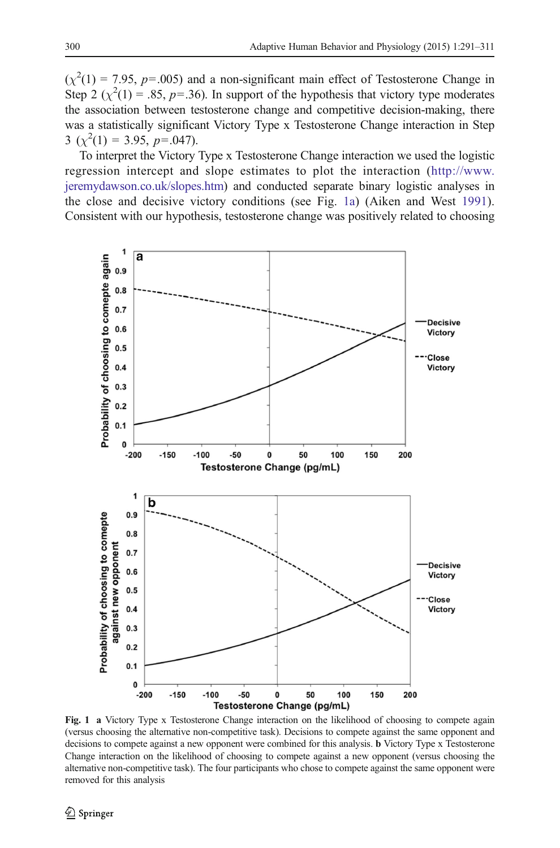<span id="page-9-0"></span> $(\chi^2(1) = 7.95, p = .005)$  and a non-significant main effect of Testosterone Change in Step 2 ( $\chi^2(1) = .85$ ,  $p = .36$ ). In support of the hypothesis that victory type moderates the association between testosterone change and competitive decision-making, there was a statistically significant Victory Type x Testosterone Change interaction in Step  $3 \left(\chi^2(1) = 3.95, p = .047\right).$ 

To interpret the Victory Type x Testosterone Change interaction we used the logistic regression intercept and slope estimates to plot the interaction ([http://www.](http://www.jeremydawson.co.uk/slopes.htm) [jeremydawson.co.uk/slopes.htm\)](http://www.jeremydawson.co.uk/slopes.htm) and conducted separate binary logistic analyses in the close and decisive victory conditions (see Fig. 1a) (Aiken and West [1991\)](#page-17-0). Consistent with our hypothesis, testosterone change was positively related to choosing



Fig. 1 a Victory Type x Testosterone Change interaction on the likelihood of choosing to compete again (versus choosing the alternative non-competitive task). Decisions to compete against the same opponent and decisions to compete against a new opponent were combined for this analysis. **b** Victory Type x Testosterone Change interaction on the likelihood of choosing to compete against a new opponent (versus choosing the alternative non-competitive task). The four participants who chose to compete against the same opponent were removed for this analysis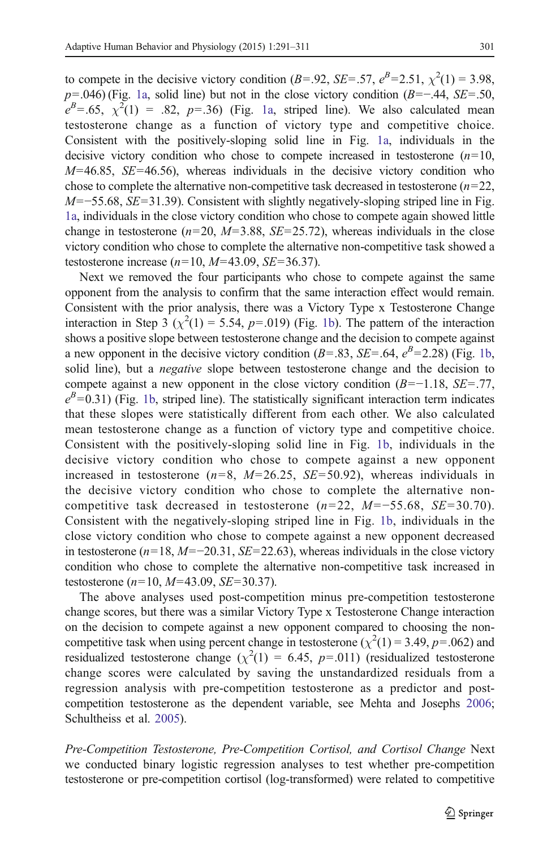to compete in the decisive victory condition ( $B = .92$ ,  $SE = .57$ ,  $e^{B} = 2.51$ ,  $\chi^2(1) = 3.98$ ,  $p=0.046$ ) (Fig. [1a,](#page-9-0) solid line) but not in the close victory condition (B=−.44, SE=.50,  $e^{B} = .65$ ,  $\chi^2(1) = .82$ ,  $p = .36$ ) (Fig. [1a](#page-9-0), striped line). We also calculated mean testosterone change as a function of victory type and competitive choice. Consistent with the positively-sloping solid line in Fig. [1a](#page-9-0), individuals in the decisive victory condition who chose to compete increased in testosterone  $(n=10,$  $M=46.85$ ,  $SE=46.56$ ), whereas individuals in the decisive victory condition who chose to complete the alternative non-competitive task decreased in testosterone  $(n=22,$  $M=-55.68$ ,  $SE=31.39$ ). Consistent with slightly negatively-sloping striped line in Fig. [1a](#page-9-0), individuals in the close victory condition who chose to compete again showed little change in testosterone ( $n=20$ ,  $M=3.88$ ,  $SE=25.72$ ), whereas individuals in the close victory condition who chose to complete the alternative non-competitive task showed a testosterone increase ( $n=10$ ,  $M=43.09$ ,  $SE=36.37$ ).

Next we removed the four participants who chose to compete against the same opponent from the analysis to confirm that the same interaction effect would remain. Consistent with the prior analysis, there was a Victory Type x Testosterone Change interaction in Step 3 ( $\chi^2(1) = 5.54$ ,  $p=0.019$ ) (Fig. [1b\)](#page-9-0). The pattern of the interaction shows a positive slope between testosterone change and the decision to compete against a new opponent in the decisive victory condition ( $B = .83$ ,  $SE = .64$ ,  $e^{B} = 2.28$ ) (Fig. [1b,](#page-9-0) solid line), but a *negative* slope between testosterone change and the decision to compete against a new opponent in the close victory condition  $(B=-1.18, SE=.77,$  $e^{B}=0.31$ ) (Fig. [1b,](#page-9-0) striped line). The statistically significant interaction term indicates that these slopes were statistically different from each other. We also calculated mean testosterone change as a function of victory type and competitive choice. Consistent with the positively-sloping solid line in Fig. [1b,](#page-9-0) individuals in the decisive victory condition who chose to compete against a new opponent increased in testosterone ( $n=8$ ,  $M=26.25$ ,  $SE=50.92$ ), whereas individuals in the decisive victory condition who chose to complete the alternative noncompetitive task decreased in testosterone  $(n=22, M=-55.68, SE=30.70)$ . Consistent with the negatively-sloping striped line in Fig. [1b](#page-9-0), individuals in the close victory condition who chose to compete against a new opponent decreased in testosterone ( $n=18$ ,  $M=-20.31$ ,  $SE=22.63$ ), whereas individuals in the close victory condition who chose to complete the alternative non-competitive task increased in testosterone ( $n=10$ ,  $M=43.09$ ,  $SE=30.37$ ).

The above analyses used post-competition minus pre-competition testosterone change scores, but there was a similar Victory Type x Testosterone Change interaction on the decision to compete against a new opponent compared to choosing the noncompetitive task when using percent change in testosterone ( $\chi^2(1) = 3.49$ ,  $p = .062$ ) and residualized testosterone change  $(\chi^2(1) = 6.45, p = .011)$  (residualized testosterone change scores were calculated by saving the unstandardized residuals from a regression analysis with pre-competition testosterone as a predictor and postcompetition testosterone as the dependent variable, see Mehta and Josephs [2006;](#page-19-0) Schultheiss et al. [2005](#page-19-0)).

Pre-Competition Testosterone, Pre-Competition Cortisol, and Cortisol Change Next we conducted binary logistic regression analyses to test whether pre-competition testosterone or pre-competition cortisol (log-transformed) were related to competitive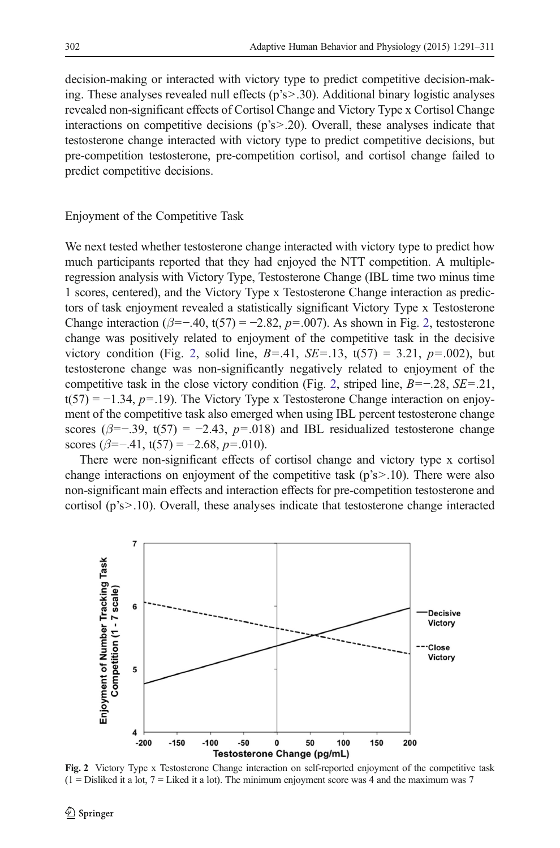<span id="page-11-0"></span>decision-making or interacted with victory type to predict competitive decision-making. These analyses revealed null effects (p's>.30). Additional binary logistic analyses revealed non-significant effects of Cortisol Change and Victory Type x Cortisol Change interactions on competitive decisions (p's>.20). Overall, these analyses indicate that testosterone change interacted with victory type to predict competitive decisions, but pre-competition testosterone, pre-competition cortisol, and cortisol change failed to predict competitive decisions.

Enjoyment of the Competitive Task

We next tested whether testosterone change interacted with victory type to predict how much participants reported that they had enjoyed the NTT competition. A multipleregression analysis with Victory Type, Testosterone Change (IBL time two minus time 1 scores, centered), and the Victory Type x Testosterone Change interaction as predictors of task enjoyment revealed a statistically significant Victory Type x Testosterone Change interaction ( $\beta$ =−.40, t(57) = −2.82, p=.007). As shown in Fig. 2, testosterone change was positively related to enjoyment of the competitive task in the decisive victory condition (Fig. 2, solid line,  $B = .41$ ,  $SE = .13$ ,  $t(57) = 3.21$ ,  $p = .002$ ), but testosterone change was non-significantly negatively related to enjoyment of the competitive task in the close victory condition (Fig. 2, striped line,  $B = -28$ ,  $SE = -21$ ,  $t(57) = -1.34$ ,  $p = .19$ ). The Victory Type x Testosterone Change interaction on enjoyment of the competitive task also emerged when using IBL percent testosterone change scores ( $\beta$ =−.39, t(57) = −2.43, p=.018) and IBL residualized testosterone change scores  $(\beta = -0.41, t(57) = -2.68, p = 0.010)$ .

There were non-significant effects of cortisol change and victory type x cortisol change interactions on enjoyment of the competitive task (p's>.10). There were also non-significant main effects and interaction effects for pre-competition testosterone and cortisol (p's>.10). Overall, these analyses indicate that testosterone change interacted



Fig. 2 Victory Type x Testosterone Change interaction on self-reported enjoyment of the competitive task  $(1 = \text{Dislikel it a lot}, 7 = \text{Liked it a lot}).$  The minimum enjoyment score was 4 and the maximum was 7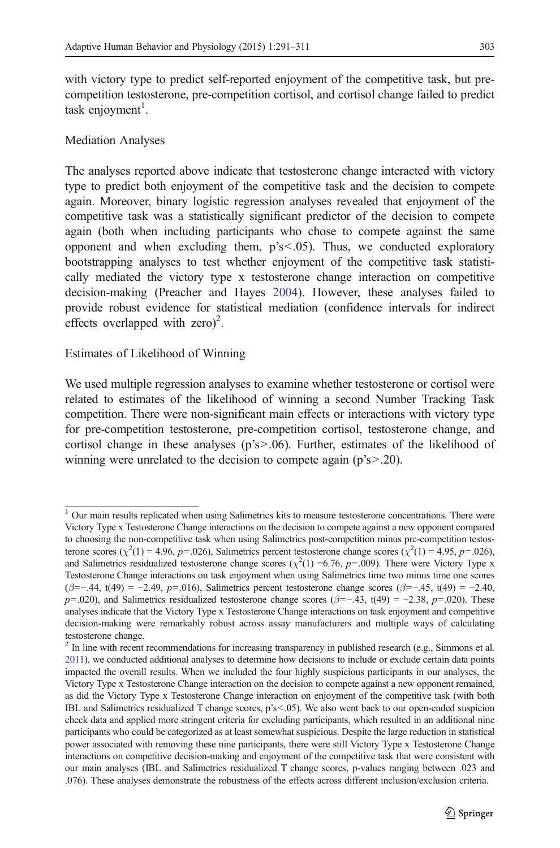with victory type to predict self-reported enjoyment of the competitive task, but precompetition testosterone, pre-competition cortisol, and cortisol change failed to predict  $task$  enjoyment<sup>1</sup>.

#### Mediation Analyses

The analyses reported above indicate that testosterone change interacted with victory type to predict both enjoyment of the competitive task and the decision to compete again. Moreover, binary logistic regression analyses revealed that enjoyment of the competitive task was a statistically significant predictor of the decision to compete again (both when including participants who chose to compete against the same opponent and when excluding them,  $p's < .05$ ). Thus, we conducted exploratory bootstrapping analyses to test whether enjoyment of the competitive task statistically mediated the victory type x testosterone change interaction on competitive decision-making (Preacher and Hayes [2004\)](#page-19-0). However, these analyses failed to provide robust evidence for statistical mediation (confidence intervals for indirect effects overlapped with zero)<sup>2</sup>.

# Estimates of Likelihood of Winning

We used multiple regression analyses to examine whether testosterone or cortisol were related to estimates of the likelihood of winning a second Number Tracking Task competition. There were non-significant main effects or interactions with victory type for pre-competition testosterone, pre-competition cortisol, testosterone change, and cortisol change in these analyses  $(p's > .06)$ . Further, estimates of the likelihood of winning were unrelated to the decision to compete again (p's>.20).

 $1$  Our main results replicated when using Salimetrics kits to measure testosterone concentrations. There were Victory Type x Testosterone Change interactions on the decision to compete against a new opponent compared to choosing the non-competitive task when using Salimetrics post-competition minus pre-competition testosterone scores ( $\chi^2(1) = 4.96$ ,  $p = .026$ ), Salimetrics percent testosterone change scores ( $\chi^2(1) = 4.95$ ,  $p = .026$ ), and Salimetrics residualized testosterone change scores ( $\chi^2(1)$  =6.76, p=.009). There were Victory Type x Testosterone Change interactions on task enjoyment when using Salimetrics time two minus time one scores  $(\beta = -0.44, t(49) = -2.49, p=0.016)$ , Salimetrics percent testosterone change scores  $(\beta = -0.45, t(49) = -2.40,$  $p$ =.020), and Salimetrics residualized testosterone change scores ( $\beta$ =−.43, t(49) = −2.38, p=.020). These analyses indicate that the Victory Type x Testosterone Change interactions on task enjoyment and competitive decision-making were remarkably robust across assay manufacturers and multiple ways of calculating testosterone change.

<sup>&</sup>lt;sup>2</sup> In line with recent recommendations for increasing transparency in published research (e.g., Simmons et al. [2011](#page-19-0)), we conducted additional analyses to determine how decisions to include or exclude certain data points impacted the overall results. When we included the four highly suspicious participants in our analyses, the Victory Type x Testosterone Change interaction on the decision to compete against a new opponent remained, as did the Victory Type x Testosterone Change interaction on enjoyment of the competitive task (with both IBL and Salimetrics residualized T change scores, p's<.05). We also went back to our open-ended suspicion check data and applied more stringent criteria for excluding participants, which resulted in an additional nine participants who could be categorized as at least somewhat suspicious. Despite the large reduction in statistical power associated with removing these nine participants, there were still Victory Type x Testosterone Change interactions on competitive decision-making and enjoyment of the competitive task that were consistent with our main analyses (IBL and Salimetrics residualized T change scores, p-values ranging between .023 and .076). These analyses demonstrate the robustness of the effects across different inclusion/exclusion criteria.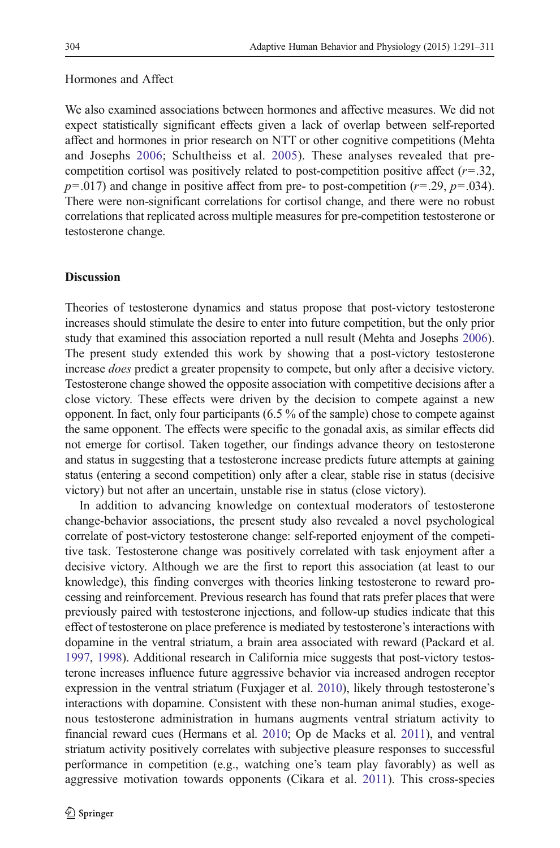#### <span id="page-13-0"></span>Hormones and Affect

We also examined associations between hormones and affective measures. We did not expect statistically significant effects given a lack of overlap between self-reported affect and hormones in prior research on NTT or other cognitive competitions (Mehta and Josephs [2006;](#page-19-0) Schultheiss et al. [2005\)](#page-19-0). These analyses revealed that precompetition cortisol was positively related to post-competition positive affect  $(r=.32, ...)$  $p=0.017$ ) and change in positive affect from pre- to post-competition ( $r=.29$ ,  $p=.034$ ). There were non-significant correlations for cortisol change, and there were no robust correlations that replicated across multiple measures for pre-competition testosterone or testosterone change.

## Discussion

Theories of testosterone dynamics and status propose that post-victory testosterone increases should stimulate the desire to enter into future competition, but the only prior study that examined this association reported a null result (Mehta and Josephs [2006\)](#page-19-0). The present study extended this work by showing that a post-victory testosterone increase does predict a greater propensity to compete, but only after a decisive victory. Testosterone change showed the opposite association with competitive decisions after a close victory. These effects were driven by the decision to compete against a new opponent. In fact, only four participants (6.5 % of the sample) chose to compete against the same opponent. The effects were specific to the gonadal axis, as similar effects did not emerge for cortisol. Taken together, our findings advance theory on testosterone and status in suggesting that a testosterone increase predicts future attempts at gaining status (entering a second competition) only after a clear, stable rise in status (decisive victory) but not after an uncertain, unstable rise in status (close victory).

In addition to advancing knowledge on contextual moderators of testosterone change-behavior associations, the present study also revealed a novel psychological correlate of post-victory testosterone change: self-reported enjoyment of the competitive task. Testosterone change was positively correlated with task enjoyment after a decisive victory. Although we are the first to report this association (at least to our knowledge), this finding converges with theories linking testosterone to reward processing and reinforcement. Previous research has found that rats prefer places that were previously paired with testosterone injections, and follow-up studies indicate that this effect of testosterone on place preference is mediated by testosterone's interactions with dopamine in the ventral striatum, a brain area associated with reward (Packard et al. [1997,](#page-19-0) [1998\)](#page-19-0). Additional research in California mice suggests that post-victory testosterone increases influence future aggressive behavior via increased androgen receptor expression in the ventral striatum (Fuxjager et al. [2010\)](#page-18-0), likely through testosterone's interactions with dopamine. Consistent with these non-human animal studies, exogenous testosterone administration in humans augments ventral striatum activity to financial reward cues (Hermans et al. [2010;](#page-18-0) Op de Macks et al. [2011](#page-19-0)), and ventral striatum activity positively correlates with subjective pleasure responses to successful performance in competition (e.g., watching one's team play favorably) as well as aggressive motivation towards opponents (Cikara et al. [2011](#page-18-0)). This cross-species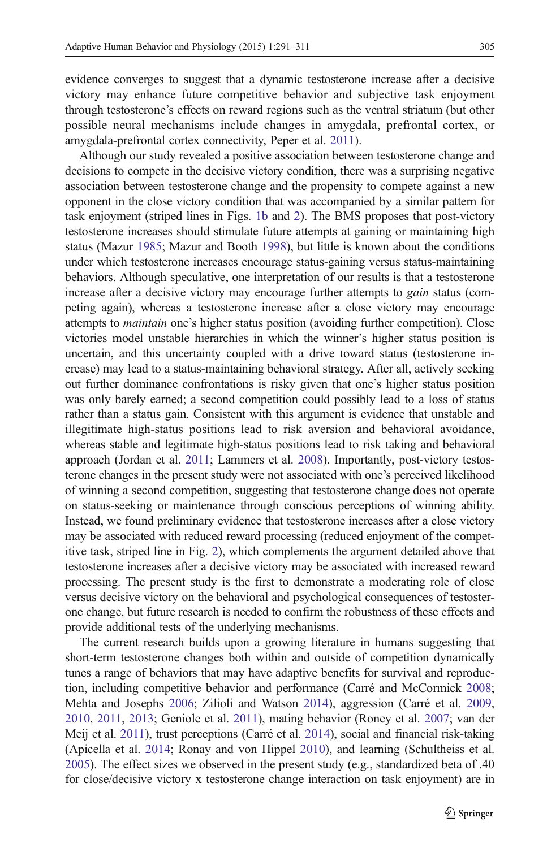evidence converges to suggest that a dynamic testosterone increase after a decisive victory may enhance future competitive behavior and subjective task enjoyment through testosterone's effects on reward regions such as the ventral striatum (but other possible neural mechanisms include changes in amygdala, prefrontal cortex, or amygdala-prefrontal cortex connectivity, Peper et al. [2011](#page-19-0)).

Although our study revealed a positive association between testosterone change and decisions to compete in the decisive victory condition, there was a surprising negative association between testosterone change and the propensity to compete against a new opponent in the close victory condition that was accompanied by a similar pattern for task enjoyment (striped lines in Figs. [1b](#page-9-0) and [2\)](#page-11-0). The BMS proposes that post-victory testosterone increases should stimulate future attempts at gaining or maintaining high status (Mazur [1985](#page-18-0); Mazur and Booth [1998\)](#page-19-0), but little is known about the conditions under which testosterone increases encourage status-gaining versus status-maintaining behaviors. Although speculative, one interpretation of our results is that a testosterone increase after a decisive victory may encourage further attempts to *gain* status (competing again), whereas a testosterone increase after a close victory may encourage attempts to maintain one's higher status position (avoiding further competition). Close victories model unstable hierarchies in which the winner's higher status position is uncertain, and this uncertainty coupled with a drive toward status (testosterone increase) may lead to a status-maintaining behavioral strategy. After all, actively seeking out further dominance confrontations is risky given that one's higher status position was only barely earned; a second competition could possibly lead to a loss of status rather than a status gain. Consistent with this argument is evidence that unstable and illegitimate high-status positions lead to risk aversion and behavioral avoidance, whereas stable and legitimate high-status positions lead to risk taking and behavioral approach (Jordan et al. [2011;](#page-18-0) Lammers et al. [2008\)](#page-18-0). Importantly, post-victory testosterone changes in the present study were not associated with one's perceived likelihood of winning a second competition, suggesting that testosterone change does not operate on status-seeking or maintenance through conscious perceptions of winning ability. Instead, we found preliminary evidence that testosterone increases after a close victory may be associated with reduced reward processing (reduced enjoyment of the competitive task, striped line in Fig. [2](#page-11-0)), which complements the argument detailed above that testosterone increases after a decisive victory may be associated with increased reward processing. The present study is the first to demonstrate a moderating role of close versus decisive victory on the behavioral and psychological consequences of testosterone change, but future research is needed to confirm the robustness of these effects and provide additional tests of the underlying mechanisms.

The current research builds upon a growing literature in humans suggesting that short-term testosterone changes both within and outside of competition dynamically tunes a range of behaviors that may have adaptive benefits for survival and reproduction, including competitive behavior and performance (Carré and McCormick [2008;](#page-17-0) Mehta and Josephs [2006](#page-19-0); Zilioli and Watson [2014\)](#page-20-0), aggression (Carré et al. [2009,](#page-17-0) [2010,](#page-18-0) [2011,](#page-18-0) [2013;](#page-18-0) Geniole et al. [2011\)](#page-18-0), mating behavior (Roney et al. [2007;](#page-19-0) van der Meij et al. [2011\)](#page-20-0), trust perceptions (Carré et al. [2014](#page-18-0)), social and financial risk-taking (Apicella et al. [2014;](#page-17-0) Ronay and von Hippel [2010](#page-19-0)), and learning (Schultheiss et al. [2005\)](#page-19-0). The effect sizes we observed in the present study (e.g., standardized beta of .40 for close/decisive victory x testosterone change interaction on task enjoyment) are in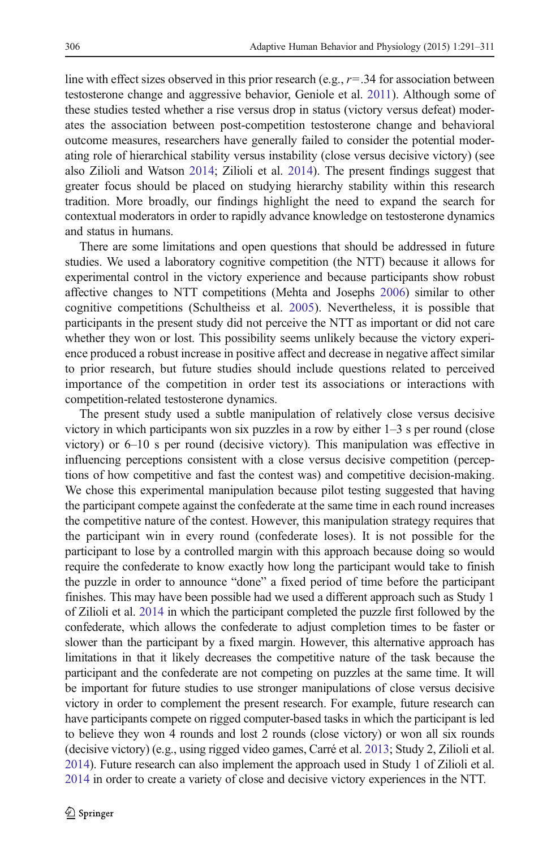line with effect sizes observed in this prior research (e.g.,  $r = 0.34$  for association between testosterone change and aggressive behavior, Geniole et al. [2011\)](#page-18-0). Although some of these studies tested whether a rise versus drop in status (victory versus defeat) moderates the association between post-competition testosterone change and behavioral outcome measures, researchers have generally failed to consider the potential moderating role of hierarchical stability versus instability (close versus decisive victory) (see also Zilioli and Watson [2014](#page-20-0); Zilioli et al. [2014\)](#page-20-0). The present findings suggest that greater focus should be placed on studying hierarchy stability within this research tradition. More broadly, our findings highlight the need to expand the search for contextual moderators in order to rapidly advance knowledge on testosterone dynamics and status in humans.

There are some limitations and open questions that should be addressed in future studies. We used a laboratory cognitive competition (the NTT) because it allows for experimental control in the victory experience and because participants show robust affective changes to NTT competitions (Mehta and Josephs [2006](#page-19-0)) similar to other cognitive competitions (Schultheiss et al. [2005\)](#page-19-0). Nevertheless, it is possible that participants in the present study did not perceive the NTT as important or did not care whether they won or lost. This possibility seems unlikely because the victory experience produced a robust increase in positive affect and decrease in negative affect similar to prior research, but future studies should include questions related to perceived importance of the competition in order test its associations or interactions with competition-related testosterone dynamics.

The present study used a subtle manipulation of relatively close versus decisive victory in which participants won six puzzles in a row by either 1–3 s per round (close victory) or 6–10 s per round (decisive victory). This manipulation was effective in influencing perceptions consistent with a close versus decisive competition (perceptions of how competitive and fast the contest was) and competitive decision-making. We chose this experimental manipulation because pilot testing suggested that having the participant compete against the confederate at the same time in each round increases the competitive nature of the contest. However, this manipulation strategy requires that the participant win in every round (confederate loses). It is not possible for the participant to lose by a controlled margin with this approach because doing so would require the confederate to know exactly how long the participant would take to finish the puzzle in order to announce "done" a fixed period of time before the participant finishes. This may have been possible had we used a different approach such as Study 1 of Zilioli et al. [2014](#page-20-0) in which the participant completed the puzzle first followed by the confederate, which allows the confederate to adjust completion times to be faster or slower than the participant by a fixed margin. However, this alternative approach has limitations in that it likely decreases the competitive nature of the task because the participant and the confederate are not competing on puzzles at the same time. It will be important for future studies to use stronger manipulations of close versus decisive victory in order to complement the present research. For example, future research can have participants compete on rigged computer-based tasks in which the participant is led to believe they won 4 rounds and lost 2 rounds (close victory) or won all six rounds (decisive victory) (e.g., using rigged video games, Carré et al. [2013;](#page-18-0) Study 2, Zilioli et al. [2014](#page-20-0)). Future research can also implement the approach used in Study 1 of Zilioli et al. [2014](#page-20-0) in order to create a variety of close and decisive victory experiences in the NTT.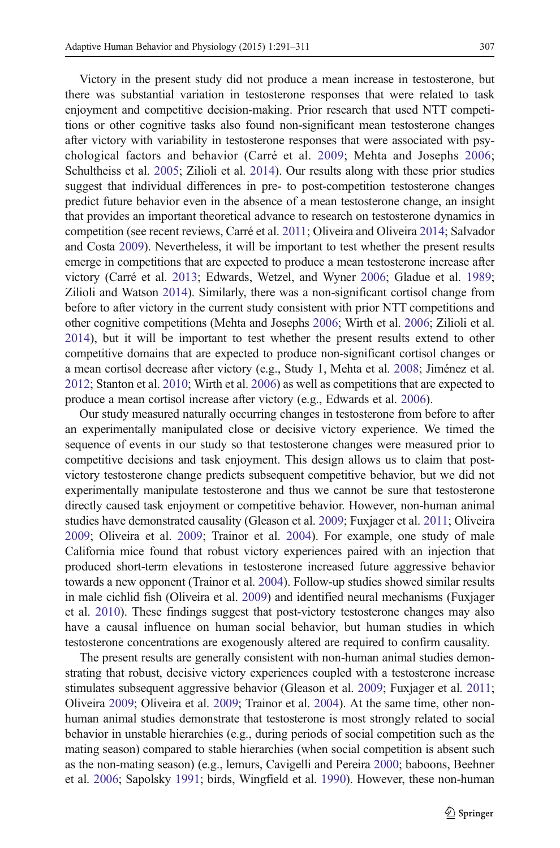Victory in the present study did not produce a mean increase in testosterone, but there was substantial variation in testosterone responses that were related to task enjoyment and competitive decision-making. Prior research that used NTT competitions or other cognitive tasks also found non-significant mean testosterone changes after victory with variability in testosterone responses that were associated with psychological factors and behavior (Carré et al. [2009](#page-17-0); Mehta and Josephs [2006;](#page-19-0) Schultheiss et al. [2005](#page-19-0); Zilioli et al. [2014\)](#page-20-0). Our results along with these prior studies suggest that individual differences in pre- to post-competition testosterone changes predict future behavior even in the absence of a mean testosterone change, an insight that provides an important theoretical advance to research on testosterone dynamics in competition (see recent reviews, Carré et al. [2011;](#page-18-0) Oliveira and Oliveira [2014](#page-19-0); Salvador and Costa [2009\)](#page-19-0). Nevertheless, it will be important to test whether the present results emerge in competitions that are expected to produce a mean testosterone increase after victory (Carré et al. [2013;](#page-18-0) Edwards, Wetzel, and Wyner [2006;](#page-18-0) Gladue et al. [1989;](#page-18-0) Zilioli and Watson [2014](#page-20-0)). Similarly, there was a non-significant cortisol change from before to after victory in the current study consistent with prior NTT competitions and other cognitive competitions (Mehta and Josephs [2006](#page-19-0); Wirth et al. [2006](#page-20-0); Zilioli et al. [2014\)](#page-20-0), but it will be important to test whether the present results extend to other competitive domains that are expected to produce non-significant cortisol changes or a mean cortisol decrease after victory (e.g., Study 1, Mehta et al. [2008;](#page-19-0) Jiménez et al. [2012;](#page-18-0) Stanton et al. [2010](#page-20-0); Wirth et al. [2006\)](#page-20-0) as well as competitions that are expected to produce a mean cortisol increase after victory (e.g., Edwards et al. [2006](#page-18-0)).

Our study measured naturally occurring changes in testosterone from before to after an experimentally manipulated close or decisive victory experience. We timed the sequence of events in our study so that testosterone changes were measured prior to competitive decisions and task enjoyment. This design allows us to claim that postvictory testosterone change predicts subsequent competitive behavior, but we did not experimentally manipulate testosterone and thus we cannot be sure that testosterone directly caused task enjoyment or competitive behavior. However, non-human animal studies have demonstrated causality (Gleason et al. [2009;](#page-18-0) Fuxjager et al. [2011;](#page-18-0) Oliveira [2009;](#page-19-0) Oliveira et al. [2009](#page-19-0); Trainor et al. [2004](#page-20-0)). For example, one study of male California mice found that robust victory experiences paired with an injection that produced short-term elevations in testosterone increased future aggressive behavior towards a new opponent (Trainor et al. [2004](#page-20-0)). Follow-up studies showed similar results in male cichlid fish (Oliveira et al. [2009\)](#page-19-0) and identified neural mechanisms (Fuxjager et al. [2010](#page-18-0)). These findings suggest that post-victory testosterone changes may also have a causal influence on human social behavior, but human studies in which testosterone concentrations are exogenously altered are required to confirm causality.

The present results are generally consistent with non-human animal studies demonstrating that robust, decisive victory experiences coupled with a testosterone increase stimulates subsequent aggressive behavior (Gleason et al. [2009;](#page-18-0) Fuxjager et al. [2011;](#page-18-0) Oliveira [2009](#page-19-0); Oliveira et al. [2009](#page-19-0); Trainor et al. [2004](#page-20-0)). At the same time, other nonhuman animal studies demonstrate that testosterone is most strongly related to social behavior in unstable hierarchies (e.g., during periods of social competition such as the mating season) compared to stable hierarchies (when social competition is absent such as the non-mating season) (e.g., lemurs, Cavigelli and Pereira [2000](#page-18-0); baboons, Beehner et al. [2006;](#page-17-0) Sapolsky [1991](#page-19-0); birds, Wingfield et al. [1990\)](#page-20-0). However, these non-human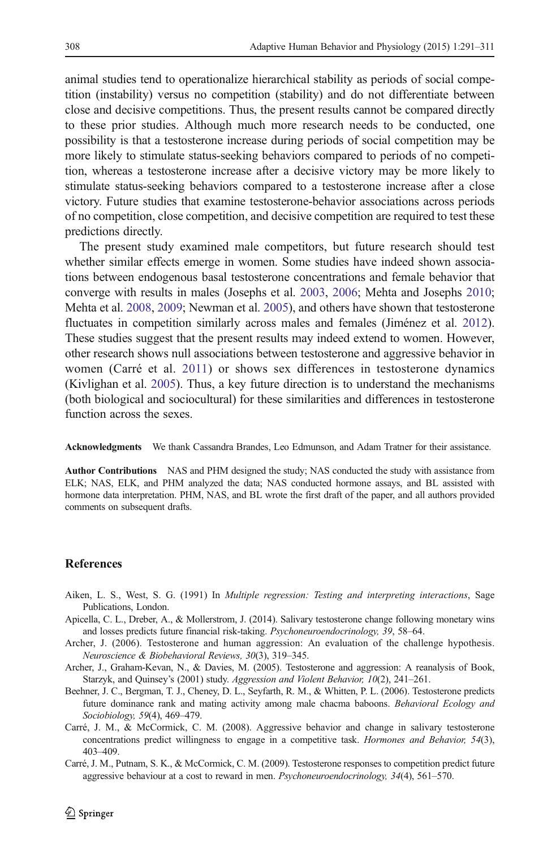<span id="page-17-0"></span>animal studies tend to operationalize hierarchical stability as periods of social competition (instability) versus no competition (stability) and do not differentiate between close and decisive competitions. Thus, the present results cannot be compared directly to these prior studies. Although much more research needs to be conducted, one possibility is that a testosterone increase during periods of social competition may be more likely to stimulate status-seeking behaviors compared to periods of no competition, whereas a testosterone increase after a decisive victory may be more likely to stimulate status-seeking behaviors compared to a testosterone increase after a close victory. Future studies that examine testosterone-behavior associations across periods of no competition, close competition, and decisive competition are required to test these predictions directly.

The present study examined male competitors, but future research should test whether similar effects emerge in women. Some studies have indeed shown associations between endogenous basal testosterone concentrations and female behavior that converge with results in males (Josephs et al. [2003](#page-18-0), [2006;](#page-18-0) Mehta and Josephs [2010;](#page-19-0) Mehta et al. [2008,](#page-19-0) [2009](#page-19-0); Newman et al. [2005](#page-19-0)), and others have shown that testosterone fluctuates in competition similarly across males and females (Jiménez et al. [2012\)](#page-18-0). These studies suggest that the present results may indeed extend to women. However, other research shows null associations between testosterone and aggressive behavior in women (Carré et al. [2011](#page-18-0)) or shows sex differences in testosterone dynamics (Kivlighan et al. [2005](#page-18-0)). Thus, a key future direction is to understand the mechanisms (both biological and sociocultural) for these similarities and differences in testosterone function across the sexes.

Acknowledgments We thank Cassandra Brandes, Leo Edmunson, and Adam Tratner for their assistance.

Author Contributions NAS and PHM designed the study; NAS conducted the study with assistance from ELK; NAS, ELK, and PHM analyzed the data; NAS conducted hormone assays, and BL assisted with hormone data interpretation. PHM, NAS, and BL wrote the first draft of the paper, and all authors provided comments on subsequent drafts.

#### References

- Aiken, L. S., West, S. G. (1991) In *Multiple regression: Testing and interpreting interactions*, Sage Publications, London.
- Apicella, C. L., Dreber, A., & Mollerstrom, J. (2014). Salivary testosterone change following monetary wins and losses predicts future financial risk-taking. Psychoneuroendocrinology, 39, 58–64.
- Archer, J. (2006). Testosterone and human aggression: An evaluation of the challenge hypothesis. Neuroscience & Biobehavioral Reviews, 30(3), 319–345.
- Archer, J., Graham-Kevan, N., & Davies, M. (2005). Testosterone and aggression: A reanalysis of Book, Starzyk, and Quinsey's (2001) study. Aggression and Violent Behavior, 10(2), 241–261.
- Beehner, J. C., Bergman, T. J., Cheney, D. L., Seyfarth, R. M., & Whitten, P. L. (2006). Testosterone predicts future dominance rank and mating activity among male chacma baboons. Behavioral Ecology and Sociobiology, 59(4), 469–479.
- Carré, J. M., & McCormick, C. M. (2008). Aggressive behavior and change in salivary testosterone concentrations predict willingness to engage in a competitive task. Hormones and Behavior, 54(3), 403–409.
- Carré, J. M., Putnam, S. K., & McCormick, C. M. (2009). Testosterone responses to competition predict future aggressive behaviour at a cost to reward in men. Psychoneuroendocrinology, 34(4), 561–570.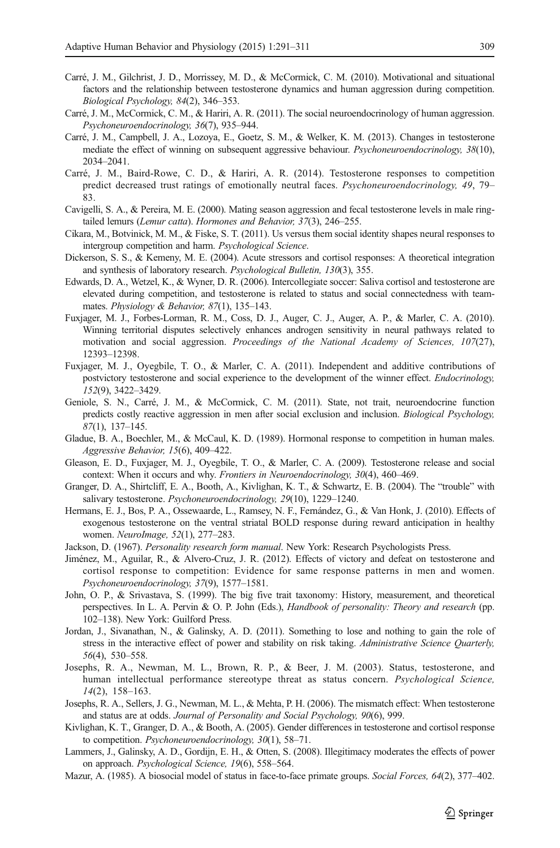- <span id="page-18-0"></span>Carré, J. M., Gilchrist, J. D., Morrissey, M. D., & McCormick, C. M. (2010). Motivational and situational factors and the relationship between testosterone dynamics and human aggression during competition. Biological Psychology, 84(2), 346–353.
- Carré, J. M., McCormick, C. M., & Hariri, A. R. (2011). The social neuroendocrinology of human aggression. Psychoneuroendocrinology, 36(7), 935–944.
- Carré, J. M., Campbell, J. A., Lozoya, E., Goetz, S. M., & Welker, K. M. (2013). Changes in testosterone mediate the effect of winning on subsequent aggressive behaviour. Psychoneuroendocrinology, 38(10), 2034–2041.
- Carré, J. M., Baird-Rowe, C. D., & Hariri, A. R. (2014). Testosterone responses to competition predict decreased trust ratings of emotionally neutral faces. Psychoneuroendocrinology, 49, 79– 83.
- Cavigelli, S. A., & Pereira, M. E. (2000). Mating season aggression and fecal testosterone levels in male ringtailed lemurs (Lemur catta). Hormones and Behavior, 37(3), 246–255.
- Cikara, M., Botvinick, M. M., & Fiske, S. T. (2011). Us versus them social identity shapes neural responses to intergroup competition and harm. Psychological Science.
- Dickerson, S. S., & Kemeny, M. E. (2004). Acute stressors and cortisol responses: A theoretical integration and synthesis of laboratory research. Psychological Bulletin, 130(3), 355.
- Edwards, D. A., Wetzel, K., & Wyner, D. R. (2006). Intercollegiate soccer: Saliva cortisol and testosterone are elevated during competition, and testosterone is related to status and social connectedness with teammates. Physiology & Behavior, 87(1), 135–143.
- Fuxjager, M. J., Forbes-Lorman, R. M., Coss, D. J., Auger, C. J., Auger, A. P., & Marler, C. A. (2010). Winning territorial disputes selectively enhances androgen sensitivity in neural pathways related to motivation and social aggression. Proceedings of the National Academy of Sciences, 107(27), 12393–12398.
- Fuxjager, M. J., Oyegbile, T. O., & Marler, C. A. (2011). Independent and additive contributions of postvictory testosterone and social experience to the development of the winner effect. Endocrinology, 152(9), 3422–3429.
- Geniole, S. N., Carré, J. M., & McCormick, C. M. (2011). State, not trait, neuroendocrine function predicts costly reactive aggression in men after social exclusion and inclusion. Biological Psychology, 87(1), 137–145.
- Gladue, B. A., Boechler, M., & McCaul, K. D. (1989). Hormonal response to competition in human males. Aggressive Behavior, 15(6), 409–422.
- Gleason, E. D., Fuxjager, M. J., Oyegbile, T. O., & Marler, C. A. (2009). Testosterone release and social context: When it occurs and why. Frontiers in Neuroendocrinology, 30(4), 460–469.
- Granger, D. A., Shirtcliff, E. A., Booth, A., Kivlighan, K. T., & Schwartz, E. B. (2004). The "trouble" with salivary testosterone. Psychoneuroendocrinology, 29(10), 1229–1240.
- Hermans, E. J., Bos, P. A., Ossewaarde, L., Ramsey, N. F., Fernández, G., & Van Honk, J. (2010). Effects of exogenous testosterone on the ventral striatal BOLD response during reward anticipation in healthy women. NeuroImage, 52(1), 277–283.
- Jackson, D. (1967). Personality research form manual. New York: Research Psychologists Press.
- Jiménez, M., Aguilar, R., & Alvero-Cruz, J. R. (2012). Effects of victory and defeat on testosterone and cortisol response to competition: Evidence for same response patterns in men and women. Psychoneuroendocrinology, 37(9), 1577–1581.
- John, O. P., & Srivastava, S. (1999). The big five trait taxonomy: History, measurement, and theoretical perspectives. In L. A. Pervin & O. P. John (Eds.), Handbook of personality: Theory and research (pp. 102–138). New York: Guilford Press.
- Jordan, J., Sivanathan, N., & Galinsky, A. D. (2011). Something to lose and nothing to gain the role of stress in the interactive effect of power and stability on risk taking. Administrative Science Quarterly, 56(4), 530–558.
- Josephs, R. A., Newman, M. L., Brown, R. P., & Beer, J. M. (2003). Status, testosterone, and human intellectual performance stereotype threat as status concern. Psychological Science, 14(2), 158–163.
- Josephs, R. A., Sellers, J. G., Newman, M. L., & Mehta, P. H. (2006). The mismatch effect: When testosterone and status are at odds. Journal of Personality and Social Psychology, 90(6), 999.
- Kivlighan, K. T., Granger, D. A., & Booth, A. (2005). Gender differences in testosterone and cortisol response to competition. Psychoneuroendocrinology, 30(1), 58–71.
- Lammers, J., Galinsky, A. D., Gordijn, E. H., & Otten, S. (2008). Illegitimacy moderates the effects of power on approach. Psychological Science, 19(6), 558–564.
- Mazur, A. (1985). A biosocial model of status in face-to-face primate groups. Social Forces, 64(2), 377–402.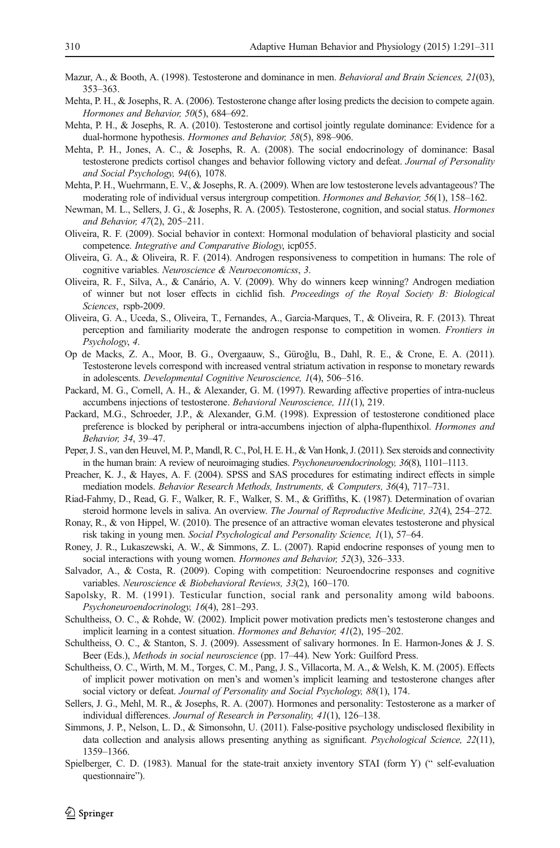- <span id="page-19-0"></span>Mazur, A., & Booth, A. (1998). Testosterone and dominance in men. Behavioral and Brain Sciences, 21(03), 353–363.
- Mehta, P. H., & Josephs, R. A. (2006). Testosterone change after losing predicts the decision to compete again. Hormones and Behavior, 50(5), 684–692.
- Mehta, P. H., & Josephs, R. A. (2010). Testosterone and cortisol jointly regulate dominance: Evidence for a dual-hormone hypothesis. Hormones and Behavior, 58(5), 898–906.
- Mehta, P. H., Jones, A. C., & Josephs, R. A. (2008). The social endocrinology of dominance: Basal testosterone predicts cortisol changes and behavior following victory and defeat. Journal of Personality and Social Psychology, 94(6), 1078.
- Mehta, P. H., Wuehrmann, E. V., & Josephs, R. A. (2009). When are low testosterone levels advantageous? The moderating role of individual versus intergroup competition. Hormones and Behavior, 56(1), 158–162.
- Newman, M. L., Sellers, J. G., & Josephs, R. A. (2005). Testosterone, cognition, and social status. Hormones and Behavior, 47(2), 205–211.
- Oliveira, R. F. (2009). Social behavior in context: Hormonal modulation of behavioral plasticity and social competence. Integrative and Comparative Biology, icp055.
- Oliveira, G. A., & Oliveira, R. F. (2014). Androgen responsiveness to competition in humans: The role of cognitive variables. Neuroscience & Neuroeconomicss, 3.
- Oliveira, R. F., Silva, A., & Canário, A. V. (2009). Why do winners keep winning? Androgen mediation of winner but not loser effects in cichlid fish. Proceedings of the Royal Society B: Biological Sciences, rspb-2009.
- Oliveira, G. A., Uceda, S., Oliveira, T., Fernandes, A., Garcia-Marques, T., & Oliveira, R. F. (2013). Threat perception and familiarity moderate the androgen response to competition in women. Frontiers in Psychology, 4.
- Op de Macks, Z. A., Moor, B. G., Overgaauw, S., Güroğlu, B., Dahl, R. E., & Crone, E. A. (2011). Testosterone levels correspond with increased ventral striatum activation in response to monetary rewards in adolescents. Developmental Cognitive Neuroscience, 1(4), 506–516.
- Packard, M. G., Cornell, A. H., & Alexander, G. M. (1997). Rewarding affective properties of intra-nucleus accumbens injections of testosterone. Behavioral Neuroscience, 111(1), 219.
- Packard, M.G., Schroeder, J.P., & Alexander, G.M. (1998). Expression of testosterone conditioned place preference is blocked by peripheral or intra-accumbens injection of alpha-flupenthixol. Hormones and Behavior, 34, 39–47.
- Peper, J. S., van den Heuvel, M. P., Mandl, R. C., Pol, H. E. H., & Van Honk, J. (2011). Sex steroids and connectivity in the human brain: A review of neuroimaging studies. Psychoneuroendocrinology, 36(8), 1101–1113.
- Preacher, K. J., & Hayes, A. F. (2004). SPSS and SAS procedures for estimating indirect effects in simple mediation models. Behavior Research Methods, Instruments, & Computers, 36(4), 717–731.
- Riad-Fahmy, D., Read, G. F., Walker, R. F., Walker, S. M., & Griffiths, K. (1987). Determination of ovarian steroid hormone levels in saliva. An overview. The Journal of Reproductive Medicine, 32(4), 254–272.
- Ronay, R., & von Hippel, W. (2010). The presence of an attractive woman elevates testosterone and physical risk taking in young men. Social Psychological and Personality Science, 1(1), 57–64.
- Roney, J. R., Lukaszewski, A. W., & Simmons, Z. L. (2007). Rapid endocrine responses of young men to social interactions with young women. Hormones and Behavior, 52(3), 326–333.
- Salvador, A., & Costa, R. (2009). Coping with competition: Neuroendocrine responses and cognitive variables. Neuroscience & Biobehavioral Reviews, 33(2), 160–170.
- Sapolsky, R. M. (1991). Testicular function, social rank and personality among wild baboons. Psychoneuroendocrinology, 16(4), 281–293.
- Schultheiss, O. C., & Rohde, W. (2002). Implicit power motivation predicts men's testosterone changes and implicit learning in a contest situation. Hormones and Behavior, 41(2), 195–202.
- Schultheiss, O. C., & Stanton, S. J. (2009). Assessment of salivary hormones. In E. Harmon-Jones & J. S. Beer (Eds.), Methods in social neuroscience (pp. 17–44). New York: Guilford Press.
- Schultheiss, O. C., Wirth, M. M., Torges, C. M., Pang, J. S., Villacorta, M. A., & Welsh, K. M. (2005). Effects of implicit power motivation on men's and women's implicit learning and testosterone changes after social victory or defeat. Journal of Personality and Social Psychology, 88(1), 174.
- Sellers, J. G., Mehl, M. R., & Josephs, R. A. (2007). Hormones and personality: Testosterone as a marker of individual differences. Journal of Research in Personality, 41(1), 126–138.
- Simmons, J. P., Nelson, L. D., & Simonsohn, U. (2011). False-positive psychology undisclosed flexibility in data collection and analysis allows presenting anything as significant. Psychological Science, 22(11), 1359–1366.
- Spielberger, C. D. (1983). Manual for the state-trait anxiety inventory STAI (form Y) (" self-evaluation questionnaire").